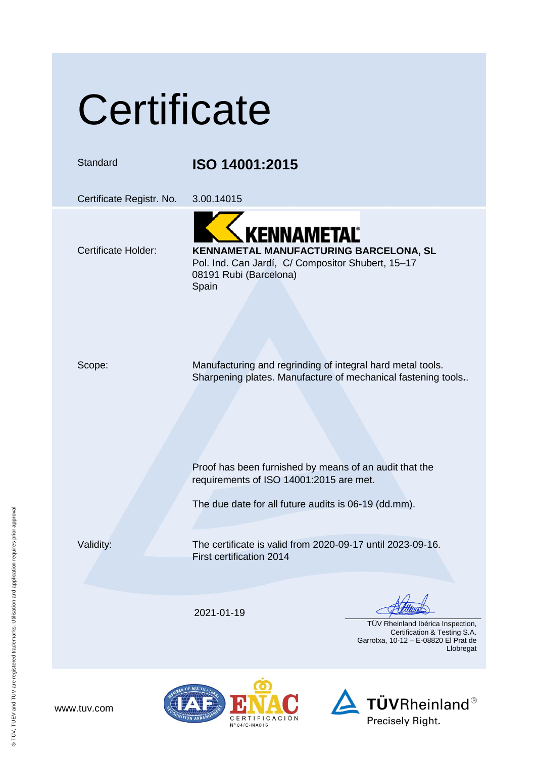## **Certificate**

Standard **ISO 14001:2015**

Certificate Registr. No. 3.00.14015

## **KENNAMETAL** Certificate Holder: **KENNAMETAL MANUFACTURING BARCELONA, SL** Pol. Ind. Can Jardí, C/ Compositor Shubert, 15–17

08191 Rubi (Barcelona) Spain

Scope: Manufacturing and regrinding of integral hard metal tools. Sharpening plates. Manufacture of mechanical fastening tools**.**.

> Proof has been furnished by means of an audit that the requirements of ISO 14001:2015 are met.

The due date for all future audits is 06-19 (dd.mm).

Validity: The certificate is valid from 2020-09-17 until 2023-09-16. First certification 2014

2021-01-19

 TÜV Rheinland Ibérica Inspection, Certification & Testing S.A. Garrotxa, 10-12 – E-08820 El Prat de Llobregat



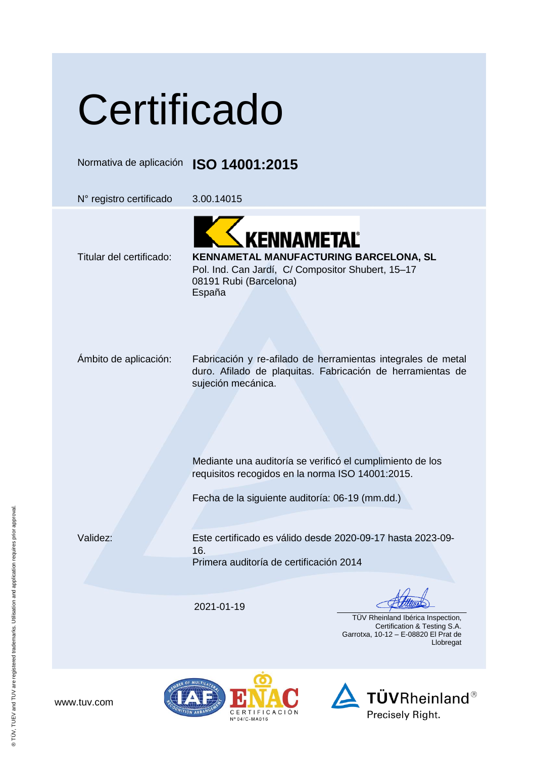## **Certificado**

Normativa de aplicación **ISO 14001:2015**

N° registro certificado 3.00.14015

KENNAMETAĽ



Pol. Ind. Can Jardí, C/ Compositor Shubert, 15–17 08191 Rubi (Barcelona) España

Ámbito de aplicación: Fabricación y re-afilado de herramientas integrales de metal duro. Afilado de plaquitas. Fabricación de herramientas de sujeción mecánica.

> Mediante una auditoría se verificó el cumplimiento de los requisitos recogidos en la norma ISO 14001:2015.

Fecha de la siguiente auditoría: 06-19 (mm.dd.)

Validez: Este certificado es válido desde 2020-09-17 hasta 2023-09- 16. Primera auditoría de certificación 2014

2021-01-19

 TÜV Rheinland Ibérica Inspection, Certification & Testing S.A. Garrotxa, 10-12 – E-08820 El Prat de Llobregat





www.tuv.com